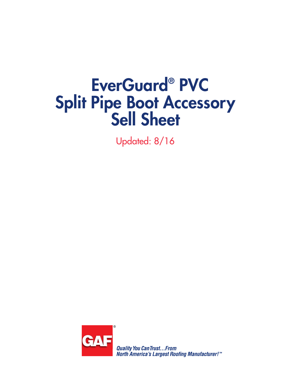# EverGuard**®** PVC Split Pipe Boot Accessory Sell Sheet

Updated: 8/16



**Quality You Can Trust... From North America's Largest Roofing Manufacturer!™**